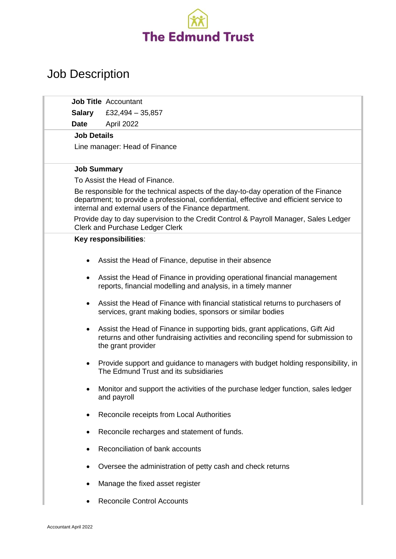

## Job Description

|                                                                                                                                                                                                                                          | <b>Job Title Accountant</b>                                                                                                                                                           |
|------------------------------------------------------------------------------------------------------------------------------------------------------------------------------------------------------------------------------------------|---------------------------------------------------------------------------------------------------------------------------------------------------------------------------------------|
| <b>Salary</b>                                                                                                                                                                                                                            | £32,494 $-$ 35,857                                                                                                                                                                    |
| <b>Date</b>                                                                                                                                                                                                                              | April 2022                                                                                                                                                                            |
| <b>Job Details</b>                                                                                                                                                                                                                       |                                                                                                                                                                                       |
|                                                                                                                                                                                                                                          | Line manager: Head of Finance                                                                                                                                                         |
|                                                                                                                                                                                                                                          |                                                                                                                                                                                       |
| <b>Job Summary</b><br>To Assist the Head of Finance.                                                                                                                                                                                     |                                                                                                                                                                                       |
|                                                                                                                                                                                                                                          |                                                                                                                                                                                       |
| Be responsible for the technical aspects of the day-to-day operation of the Finance<br>department; to provide a professional, confidential, effective and efficient service to<br>internal and external users of the Finance department. |                                                                                                                                                                                       |
| Provide day to day supervision to the Credit Control & Payroll Manager, Sales Ledger<br><b>Clerk and Purchase Ledger Clerk</b>                                                                                                           |                                                                                                                                                                                       |
| Key responsibilities:                                                                                                                                                                                                                    |                                                                                                                                                                                       |
|                                                                                                                                                                                                                                          | Assist the Head of Finance, deputise in their absence                                                                                                                                 |
|                                                                                                                                                                                                                                          | Assist the Head of Finance in providing operational financial management<br>reports, financial modelling and analysis, in a timely manner                                             |
| $\bullet$                                                                                                                                                                                                                                | Assist the Head of Finance with financial statistical returns to purchasers of<br>services, grant making bodies, sponsors or similar bodies                                           |
| $\bullet$                                                                                                                                                                                                                                | Assist the Head of Finance in supporting bids, grant applications, Gift Aid<br>returns and other fundraising activities and reconciling spend for submission to<br>the grant provider |
|                                                                                                                                                                                                                                          | Provide support and guidance to managers with budget holding responsibility, in<br>The Edmund Trust and its subsidiaries                                                              |
|                                                                                                                                                                                                                                          | Monitor and support the activities of the purchase ledger function, sales ledger<br>and payroll                                                                                       |
|                                                                                                                                                                                                                                          | Reconcile receipts from Local Authorities                                                                                                                                             |
|                                                                                                                                                                                                                                          | Reconcile recharges and statement of funds.                                                                                                                                           |
|                                                                                                                                                                                                                                          | Reconciliation of bank accounts                                                                                                                                                       |
|                                                                                                                                                                                                                                          | Oversee the administration of petty cash and check returns                                                                                                                            |
|                                                                                                                                                                                                                                          | Manage the fixed asset register                                                                                                                                                       |
|                                                                                                                                                                                                                                          | <b>Reconcile Control Accounts</b>                                                                                                                                                     |